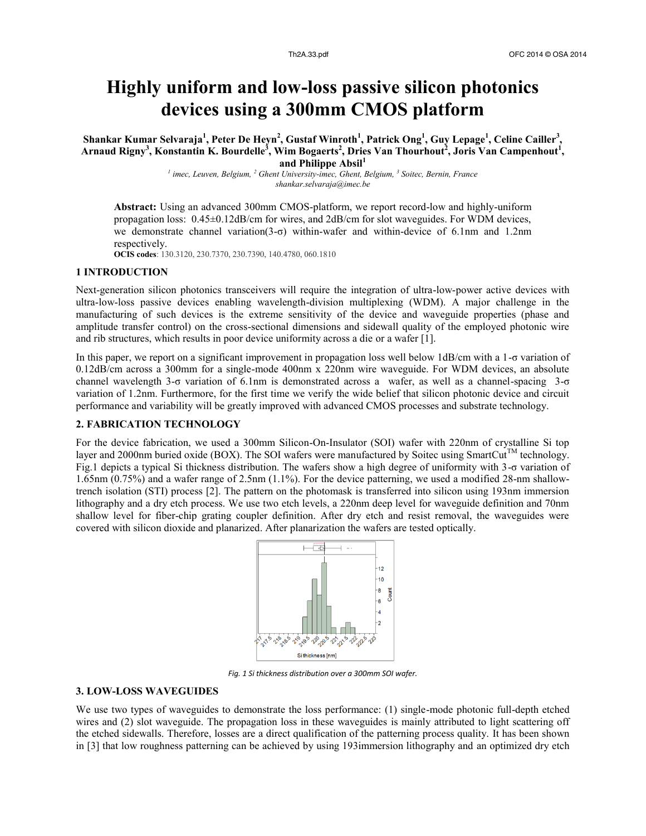# **Highly uniform and low-loss passive silicon photonics devices using a 300mm CMOS platform**

 $\Delta$ **Shankar Kumar Selvaraja** $^1$ **, Peter De Heyn** $^2$ **, Gustaf Winroth** $^1$ **, Patrick Ong** $^1$ **, Guy Lepage** $^1$ **, Celine Cailler** $^3$ **, Arnaud Rigny<sup>3</sup> , Konstantin K. Bourdelle<sup>3</sup> , Wim Bogaerts<sup>2</sup> , Dries Van Thourhout<sup>2</sup> , Joris Van Campenhout<sup>1</sup> , and Philippe Absil<sup>1</sup>**

> *1 imec, Leuven, Belgium, <sup>2</sup> Ghent University-imec, Ghent, Belgium, <sup>3</sup> Soitec, Bernin, France shankar.selvaraja@imec.be*

**Abstract:** Using an advanced 300mm CMOS-platform, we report record-low and highly-uniform propagation loss: 0.45±0.12dB/cm for wires, and 2dB/cm for slot waveguides. For WDM devices, we demonstrate channel variation(3-σ) within-wafer and within-device of 6.1nm and 1.2nm respectively.

**OCIS codes**: 130.3120, 230.7370, 230.7390, 140.4780, 060.1810

## **1 INTRODUCTION**

Next-generation silicon photonics transceivers will require the integration of ultra-low-power active devices with ultra-low-loss passive devices enabling wavelength-division multiplexing (WDM). A major challenge in the manufacturing of such devices is the extreme sensitivity of the device and waveguide properties (phase and amplitude transfer control) on the cross-sectional dimensions and sidewall quality of the employed photonic wire and rib structures, which results in poor device uniformity across a die or a wafer [1].

In this paper, we report on a significant improvement in propagation loss well below 1dB/cm with a 1-σ variation of 0.12dB/cm across a 300mm for a single-mode 400nm x 220nm wire waveguide. For WDM devices, an absolute channel wavelength 3-σ variation of 6.1nm is demonstrated across a wafer, as well as a channel-spacing 3-σ variation of 1.2nm. Furthermore, for the first time we verify the wide belief that silicon photonic device and circuit performance and variability will be greatly improved with advanced CMOS processes and substrate technology.

#### **2. FABRICATION TECHNOLOGY**

For the device fabrication, we used a 300mm Silicon-On-Insulator (SOI) wafer with 220nm of crystalline Si top layer and 2000nm buried oxide (BOX). The SOI wafers were manufactured by Soitec using SmartCut™ technology. Fig.1 depicts a typical Si thickness distribution. The wafers show a high degree of uniformity with 3-σ variation of 1.65nm (0.75%) and a wafer range of 2.5nm (1.1%). For the device patterning, we used a modified 28-nm shallowtrench isolation (STI) process [2]. The pattern on the photomask is transferred into silicon using 193nm immersion lithography and a dry etch process. We use two etch levels, a 220nm deep level for waveguide definition and 70nm shallow level for fiber-chip grating coupler definition. After dry etch and resist removal, the waveguides were covered with silicon dioxide and planarized. After planarization the wafers are tested optically.



*Fig. 1 Si thickness distribution over a 300mm SOI wafer.*

## **3. LOW-LOSS WAVEGUIDES**

We use two types of waveguides to demonstrate the loss performance: (1) single-mode photonic full-depth etched wires and (2) slot waveguide. The propagation loss in these waveguides is mainly attributed to light scattering off the etched sidewalls. Therefore, losses are a direct qualification of the patterning process quality. It has been shown in [3] that low roughness patterning can be achieved by using 193immersion lithography and an optimized dry etch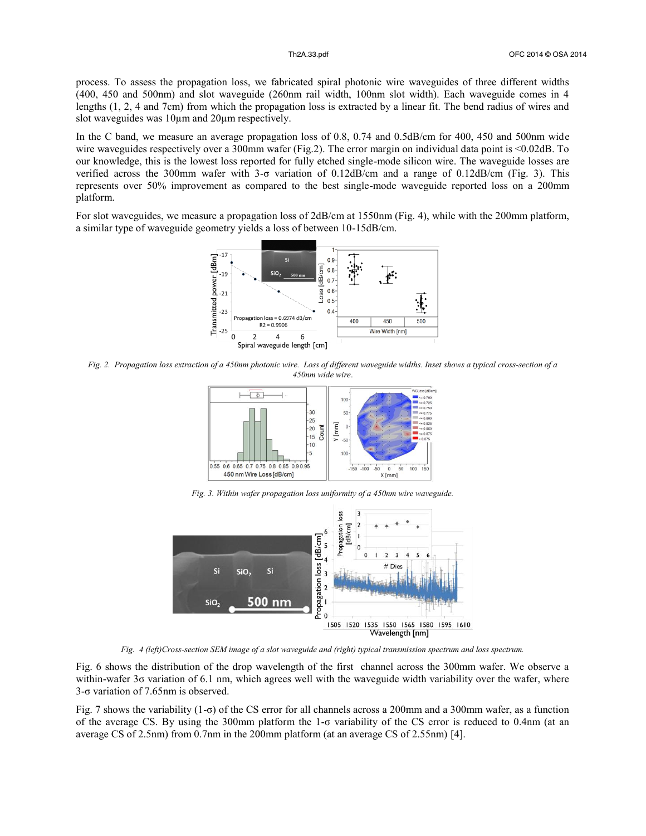process. To assess the propagation loss, we fabricated spiral photonic wire waveguides of three different widths (400, 450 and 500nm) and slot waveguide (260nm rail width, 100nm slot width). Each waveguide comes in 4 lengths (1, 2, 4 and 7cm) from which the propagation loss is extracted by a linear fit. The bend radius of wires and slot waveguides was  $10 \mu m$  and  $20 \mu m$  respectively.

In the C band, we measure an average propagation loss of 0.8, 0.74 and 0.5dB/cm for 400, 450 and 500nm wide wire waveguides respectively over a 300mm wafer (Fig.2). The error margin on individual data point is <0.02dB. To our knowledge, this is the lowest loss reported for fully etched single-mode silicon wire. The waveguide losses are verified across the 300mm wafer with 3-σ variation of 0.12dB/cm and a range of 0.12dB/cm (Fig. 3). This represents over 50% improvement as compared to the best single-mode waveguide reported loss on a 200mm platform.

For slot waveguides, we measure a propagation loss of 2dB/cm at 1550nm (Fig. 4), while with the 200mm platform, a similar type of waveguide geometry yields a loss of between 10-15dB/cm.



*Fig. 2. Propagation loss extraction of a 450nm photonic wire. Loss of different waveguide widths. Inset shows a typical cross-section of a 450nm wide wire*.



*Fig. 3. Within wafer propagation loss uniformity of a 450nm wire waveguide.*



*Fig. 4 (left)Cross-section SEM image of a slot waveguide and (right) typical transmission spectrum and loss spectrum.*

Fig. 6 shows the distribution of the drop wavelength of the first channel across the 300mm wafer. We observe a within-wafer 3σ variation of 6.1 nm, which agrees well with the waveguide width variability over the wafer, where 3-σ variation of 7.65nm is observed.

Fig. 7 shows the variability  $(1-\sigma)$  of the CS error for all channels across a 200mm and a 300mm wafer, as a function of the average CS. By using the 300mm platform the 1-σ variability of the CS error is reduced to 0.4nm (at an average CS of 2.5nm) from 0.7nm in the 200mm platform (at an average CS of 2.55nm) [4].